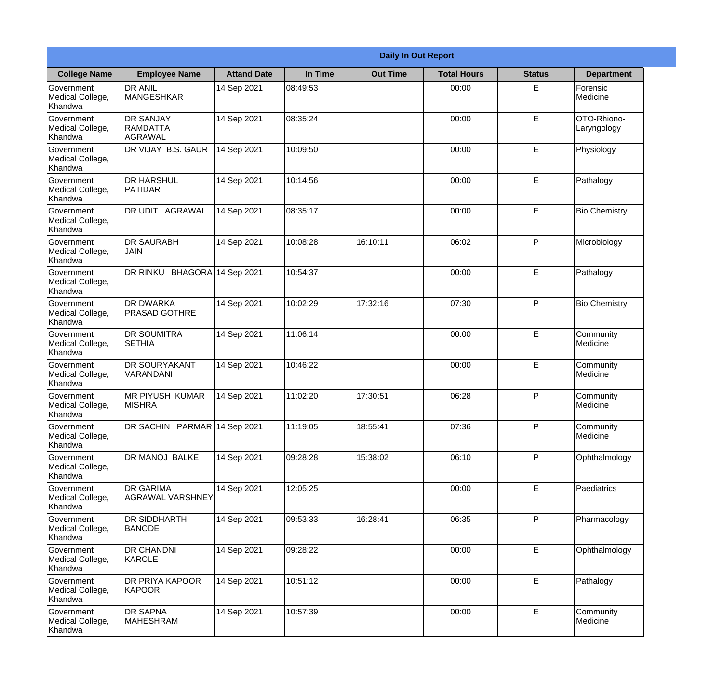|                                                  |                                                |                    |          | <b>Daily In Out Report</b> |                    |               |                            |
|--------------------------------------------------|------------------------------------------------|--------------------|----------|----------------------------|--------------------|---------------|----------------------------|
| <b>College Name</b>                              | <b>Employee Name</b>                           | <b>Attand Date</b> | In Time  | <b>Out Time</b>            | <b>Total Hours</b> | <b>Status</b> | <b>Department</b>          |
| Government<br>Medical College,<br>Khandwa        | <b>DR ANIL</b><br><b>MANGESHKAR</b>            | 14 Sep 2021        | 08:49:53 |                            | 00:00              | E             | Forensic<br>Medicine       |
| Government<br>Medical College,<br>Khandwa        | <b>DR SANJAY</b><br><b>RAMDATTA</b><br>AGRAWAL | 14 Sep 2021        | 08:35:24 |                            | 00:00              | E             | OTO-Rhiono-<br>Laryngology |
| <b>Government</b><br>Medical College,<br>Khandwa | DR VIJAY B.S. GAUR                             | 14 Sep 2021        | 10:09:50 |                            | 00:00              | E             | Physiology                 |
| Government<br>Medical College,<br>Khandwa        | <b>DR HARSHUL</b><br>PATIDAR                   | 14 Sep 2021        | 10:14:56 |                            | 00:00              | E             | Pathalogy                  |
| Government<br>Medical College,<br>Khandwa        | DR UDIT AGRAWAL                                | 14 Sep 2021        | 08:35:17 |                            | 00:00              | E             | <b>Bio Chemistry</b>       |
| Government<br>Medical College,<br>Khandwa        | <b>DR SAURABH</b><br><b>JAIN</b>               | 14 Sep 2021        | 10:08:28 | 16:10:11                   | 06:02              | P             | Microbiology               |
| Government<br>Medical College,<br>Khandwa        | DR RINKU BHAGORA 14 Sep 2021                   |                    | 10:54:37 |                            | 00:00              | E             | Pathalogy                  |
| Government<br>Medical College,<br>Khandwa        | <b>DR DWARKA</b><br><b>PRASAD GOTHRE</b>       | 14 Sep 2021        | 10:02:29 | 17:32:16                   | 07:30              | P             | <b>Bio Chemistry</b>       |
| Government<br>Medical College,<br>Khandwa        | <b>DR SOUMITRA</b><br><b>SETHIA</b>            | 14 Sep 2021        | 11:06:14 |                            | 00:00              | E             | Community<br>Medicine      |
| Government<br>Medical College,<br>Khandwa        | <b>DR SOURYAKANT</b><br>VARANDANI              | 14 Sep 2021        | 10:46:22 |                            | 00:00              | E             | Community<br>Medicine      |
| Government<br>Medical College,<br>Khandwa        | <b>MR PIYUSH KUMAR</b><br><b>MISHRA</b>        | 14 Sep 2021        | 11:02:20 | 17:30:51                   | 06:28              | $\mathsf{P}$  | Community<br>Medicine      |
| Government<br>Medical College,<br>Khandwa        | DR SACHIN PARMAR 14 Sep 2021                   |                    | 11:19:05 | 18:55:41                   | 07:36              | P             | Community<br>Medicine      |
| Government<br>Medical College,<br>Khandwa        | DR MANOJ BALKE                                 | 14 Sep 2021        | 09:28:28 | 15:38:02                   | 06:10              | P             | Ophthalmology              |
| Government<br>Medical College,<br>Khandwa        | <b>DR GARIMA</b><br><b>AGRAWAL VARSHNEY</b>    | 14 Sep 2021        | 12:05:25 |                            | 00:00              | E             | Paediatrics                |
| <b>Government</b><br>Medical College,<br>Khandwa | <b>DR SIDDHARTH</b><br><b>BANODE</b>           | 14 Sep 2021        | 09:53:33 | 16:28:41                   | 06:35              | P             | Pharmacology               |
| Government<br>Medical College,<br>Khandwa        | <b>DR CHANDNI</b><br>KAROLE                    | 14 Sep 2021        | 09:28:22 |                            | 00:00              | E             | Ophthalmology              |
| Government<br>Medical College,<br>Khandwa        | DR PRIYA KAPOOR<br><b>KAPOOR</b>               | 14 Sep 2021        | 10:51:12 |                            | 00:00              | E             | Pathalogy                  |
| Government<br>Medical College,<br>Khandwa        | <b>DR SAPNA</b><br><b>MAHESHRAM</b>            | 14 Sep 2021        | 10:57:39 |                            | 00:00              | E             | Community<br>Medicine      |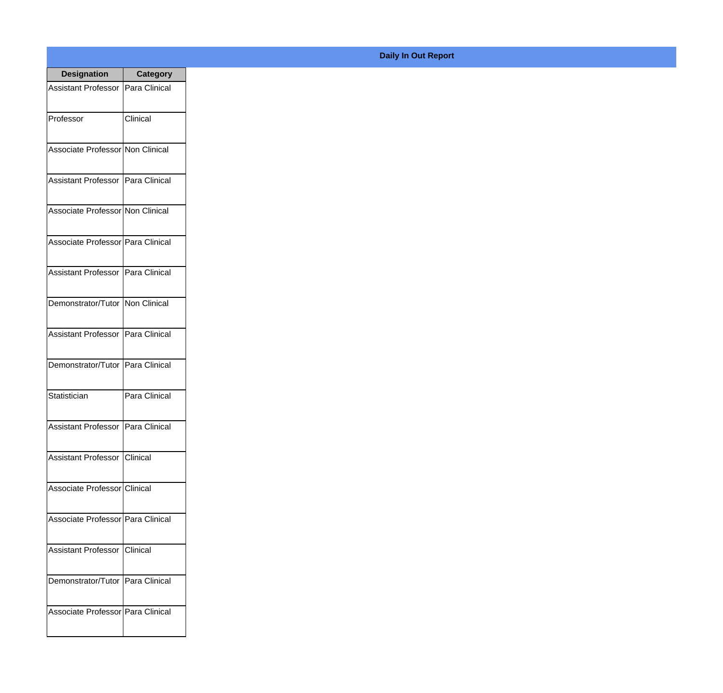| <b>Designation</b>                  | <b>Category</b> |
|-------------------------------------|-----------------|
| Assistant Professor   Para Clinical |                 |
| Professor                           | Clinical        |
| Associate Professor Non Clinical    |                 |
| Assistant Professor   Para Clinical |                 |
| Associate Professor Non Clinical    |                 |
| Associate Professor Para Clinical   |                 |
| Assistant Professor   Para Clinical |                 |
| Demonstrator/Tutor   Non Clinical   |                 |
| Assistant Professor   Para Clinical |                 |
| Demonstrator/Tutor   Para Clinical  |                 |
| Statistician                        | Para Clinical   |
| Assistant Professor   Para Clinical |                 |
| Assistant Professor   Clinical      |                 |
| Associate Professor Clinical        |                 |
| Associate Professor Para Clinical   |                 |
| <b>Assistant Professor</b>          | <b>Clinical</b> |
| Demonstrator/Tutor   Para Clinical  |                 |
| Associate Professor Para Clinical   |                 |

## **Daily In Out Report**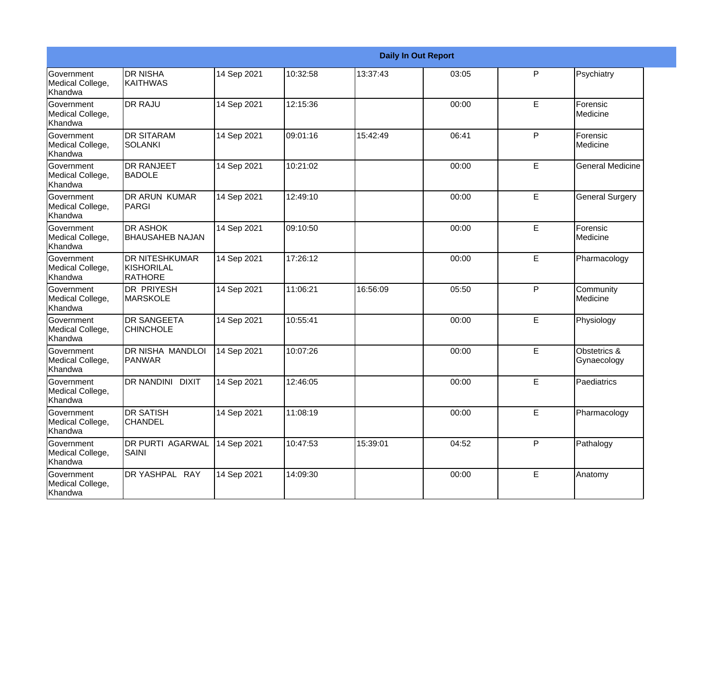|                                           |                                                 |             |          |          | <b>Daily In Out Report</b> |              |                             |
|-------------------------------------------|-------------------------------------------------|-------------|----------|----------|----------------------------|--------------|-----------------------------|
| Government<br>Medical College,<br>Khandwa | <b>DR NISHA</b><br><b>KAITHWAS</b>              | 14 Sep 2021 | 10:32:58 | 13:37:43 | 03:05                      | P            | Psychiatry                  |
| Government<br>Medical College,<br>Khandwa | <b>DR RAJU</b>                                  | 14 Sep 2021 | 12:15:36 |          | 00:00                      | E            | Forensic<br>Medicine        |
| Government<br>Medical College,<br>Khandwa | <b>DR SITARAM</b><br><b>SOLANKI</b>             | 14 Sep 2021 | 09:01:16 | 15:42:49 | 06:41                      | $\mathsf{P}$ | Forensic<br>Medicine        |
| Government<br>Medical College,<br>Khandwa | <b>DR RANJEET</b><br><b>BADOLE</b>              | 14 Sep 2021 | 10:21:02 |          | 00:00                      | E            | <b>General Medicine</b>     |
| Government<br>Medical College,<br>Khandwa | DR ARUN KUMAR<br>PARGI                          | 14 Sep 2021 | 12:49:10 |          | 00:00                      | E            | <b>General Surgery</b>      |
| Government<br>Medical College,<br>Khandwa | <b>DR ASHOK</b><br><b>BHAUSAHEB NAJAN</b>       | 14 Sep 2021 | 09:10:50 |          | 00:00                      | E            | Forensic<br>Medicine        |
| Government<br>Medical College,<br>Khandwa | <b>IDR NITESHKUMAR</b><br>KISHORILAL<br>RATHORE | 14 Sep 2021 | 17:26:12 |          | 00:00                      | E            | Pharmacology                |
| Government<br>Medical College,<br>Khandwa | <b>DR PRIYESH</b><br><b>MARSKOLE</b>            | 14 Sep 2021 | 11:06:21 | 16:56:09 | 05:50                      | P            | Community<br>Medicine       |
| Government<br>Medical College,<br>Khandwa | <b>DR SANGEETA</b><br><b>CHINCHOLE</b>          | 14 Sep 2021 | 10:55:41 |          | 00:00                      | E            | Physiology                  |
| Government<br>Medical College,<br>Khandwa | <b>DR NISHA MANDLOI</b><br><b>PANWAR</b>        | 14 Sep 2021 | 10:07:26 |          | 00:00                      | E            | Obstetrics &<br>Gynaecology |
| Government<br>Medical College,<br>Khandwa | <b>DR NANDINI</b><br><b>DIXIT</b>               | 14 Sep 2021 | 12:46:05 |          | 00:00                      | E            | Paediatrics                 |
| Government<br>Medical College,<br>Khandwa | <b>DR SATISH</b><br><b>CHANDEL</b>              | 14 Sep 2021 | 11:08:19 |          | 00:00                      | E            | Pharmacology                |
| Government<br>Medical College,<br>Khandwa | <b>DR PURTI AGARWAL</b><br><b>SAINI</b>         | 14 Sep 2021 | 10:47:53 | 15:39:01 | 04:52                      | P            | Pathalogy                   |
| Government<br>Medical College,<br>Khandwa | DR YASHPAL RAY                                  | 14 Sep 2021 | 14:09:30 |          | 00:00                      | E            | Anatomy                     |